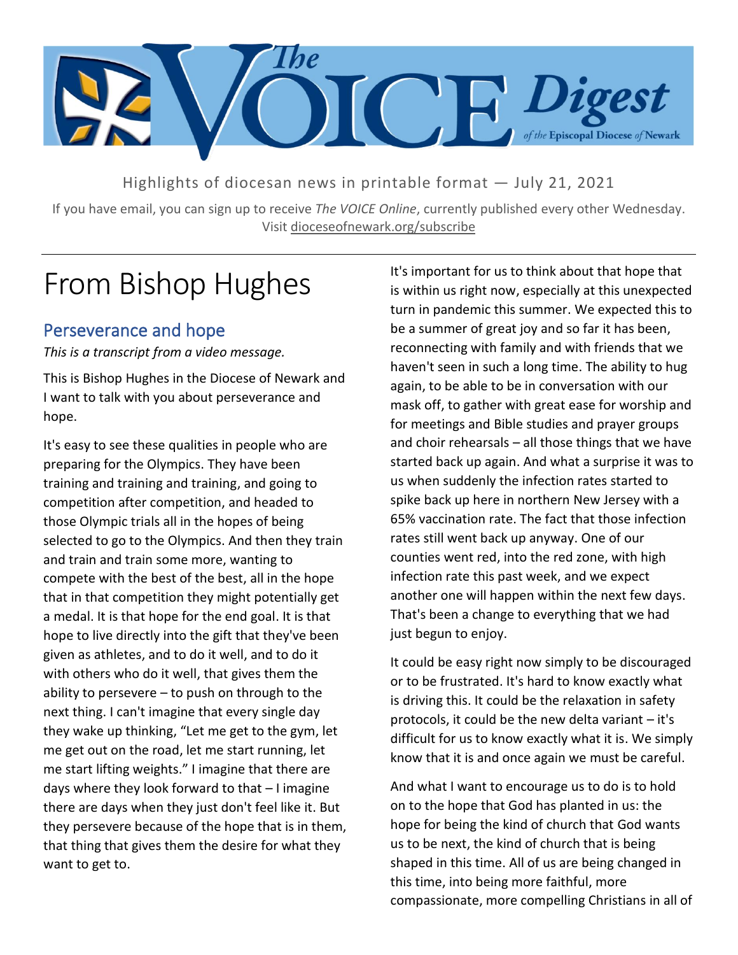

Highlights of diocesan news in printable format — July 21, 2021

If you have email, you can sign up to receive *The VOICE Online*, currently published every other Wednesday. Visit dioceseofnewark.org/subscribe

# From Bishop Hughes

### Perseverance and hope

*This is a transcript from a video message.*

This is Bishop Hughes in the Diocese of Newark and I want to talk with you about perseverance and hope.

It's easy to see these qualities in people who are preparing for the Olympics. They have been training and training and training, and going to competition after competition, and headed to those Olympic trials all in the hopes of being selected to go to the Olympics. And then they train and train and train some more, wanting to compete with the best of the best, all in the hope that in that competition they might potentially get a medal. It is that hope for the end goal. It is that hope to live directly into the gift that they've been given as athletes, and to do it well, and to do it with others who do it well, that gives them the ability to persevere  $-$  to push on through to the next thing. I can't imagine that every single day they wake up thinking, "Let me get to the gym, let me get out on the road, let me start running, let me start lifting weights." I imagine that there are days where they look forward to that – I imagine there are days when they just don't feel like it. But they persevere because of the hope that is in them, that thing that gives them the desire for what they want to get to.

It's important for us to think about that hope that is within us right now, especially at this unexpected turn in pandemic this summer. We expected this to be a summer of great joy and so far it has been, reconnecting with family and with friends that we haven't seen in such a long time. The ability to hug again, to be able to be in conversation with our mask off, to gather with great ease for worship and for meetings and Bible studies and prayer groups and choir rehearsals – all those things that we have started back up again. And what a surprise it was to us when suddenly the infection rates started to spike back up here in northern New Jersey with a 65% vaccination rate. The fact that those infection rates still went back up anyway. One of our counties went red, into the red zone, with high infection rate this past week, and we expect another one will happen within the next few days. That's been a change to everything that we had just begun to enjoy.

It could be easy right now simply to be discouraged or to be frustrated. It's hard to know exactly what is driving this. It could be the relaxation in safety protocols, it could be the new delta variant – it's difficult for us to know exactly what it is. We simply know that it is and once again we must be careful.

And what I want to encourage us to do is to hold on to the hope that God has planted in us: the hope for being the kind of church that God wants us to be next, the kind of church that is being shaped in this time. All of us are being changed in this time, into being more faithful, more compassionate, more compelling Christians in all of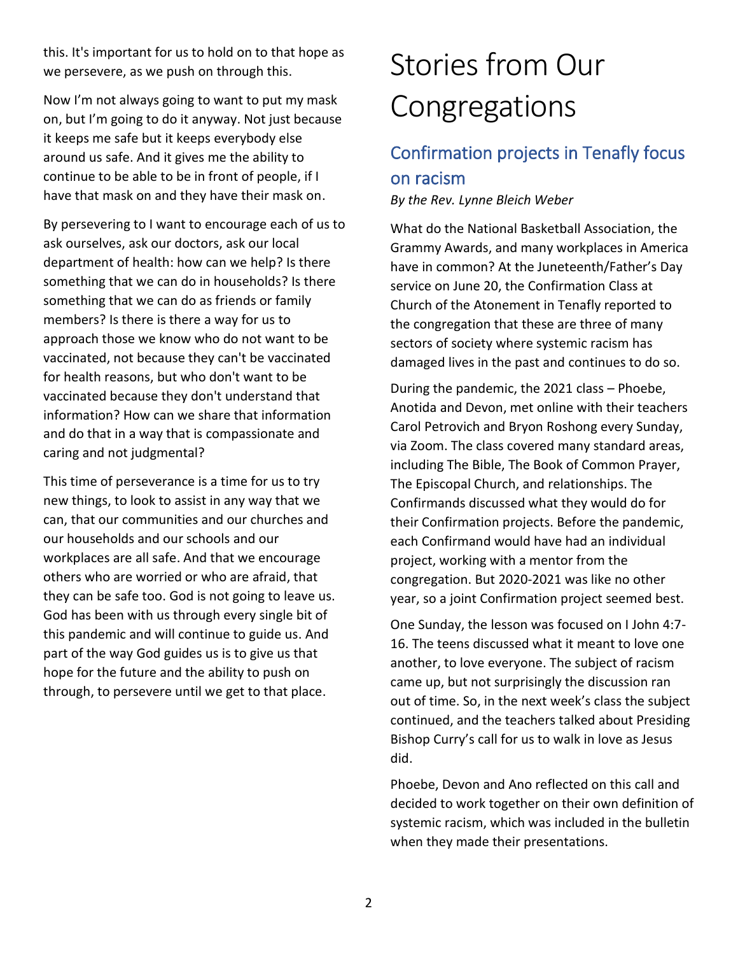this. It's important for us to hold on to that hope as we persevere, as we push on through this.

Now I'm not always going to want to put my mask on, but I'm going to do it anyway. Not just because it keeps me safe but it keeps everybody else around us safe. And it gives me the ability to continue to be able to be in front of people, if I have that mask on and they have their mask on.

By persevering to I want to encourage each of us to ask ourselves, ask our doctors, ask our local department of health: how can we help? Is there something that we can do in households? Is there something that we can do as friends or family members? Is there is there a way for us to approach those we know who do not want to be vaccinated, not because they can't be vaccinated for health reasons, but who don't want to be vaccinated because they don't understand that information? How can we share that information and do that in a way that is compassionate and caring and not judgmental?

This time of perseverance is a time for us to try new things, to look to assist in any way that we can, that our communities and our churches and our households and our schools and our workplaces are all safe. And that we encourage others who are worried or who are afraid, that they can be safe too. God is not going to leave us. God has been with us through every single bit of this pandemic and will continue to guide us. And part of the way God guides us is to give us that hope for the future and the ability to push on through, to persevere until we get to that place.

# Stories from Our Congregations

## Confirmation projects in Tenafly focus on racism

*By the Rev. Lynne Bleich Weber*

What do the National Basketball Association, the Grammy Awards, and many workplaces in America have in common? At the Juneteenth/Father's Day service on June 20, the Confirmation Class at Church of the Atonement in Tenafly reported to the congregation that these are three of many sectors of society where systemic racism has damaged lives in the past and continues to do so.

During the pandemic, the 2021 class – Phoebe, Anotida and Devon, met online with their teachers Carol Petrovich and Bryon Roshong every Sunday, via Zoom. The class covered many standard areas, including The Bible, The Book of Common Prayer, The Episcopal Church, and relationships. The Confirmands discussed what they would do for their Confirmation projects. Before the pandemic, each Confirmand would have had an individual project, working with a mentor from the congregation. But 2020-2021 was like no other year, so a joint Confirmation project seemed best.

One Sunday, the lesson was focused on I John 4:7- 16. The teens discussed what it meant to love one another, to love everyone. The subject of racism came up, but not surprisingly the discussion ran out of time. So, in the next week's class the subject continued, and the teachers talked about Presiding Bishop Curry's call for us to walk in love as Jesus did.

Phoebe, Devon and Ano reflected on this call and decided to work together on their own definition of systemic racism, which was included in the bulletin when they made their presentations.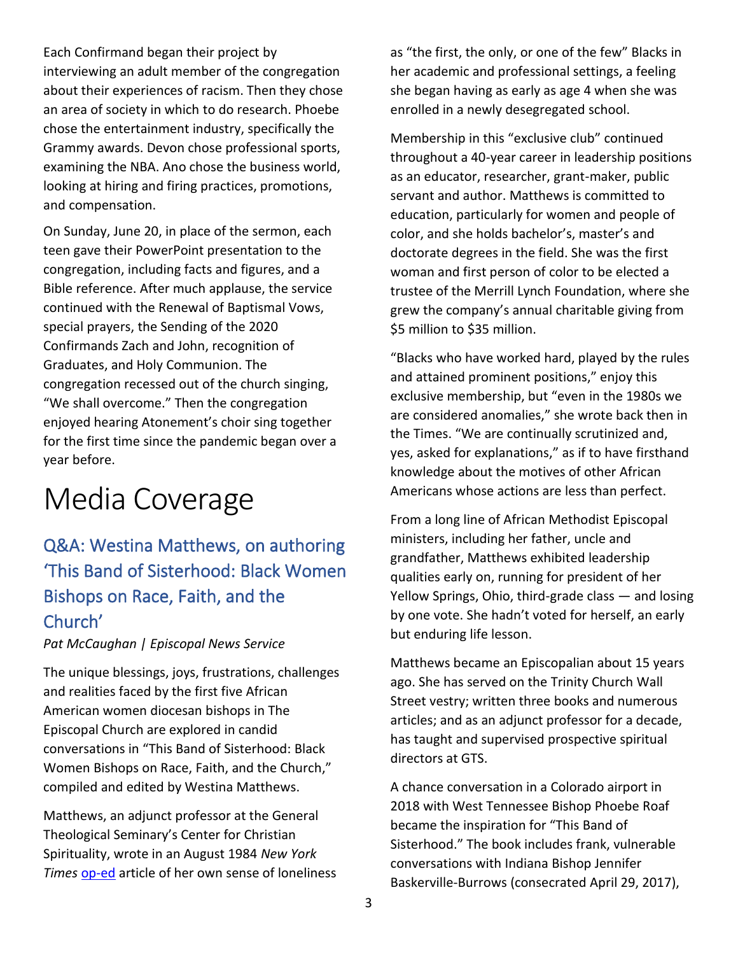Each Confirmand began their project by interviewing an adult member of the congregation about their experiences of racism. Then they chose an area of society in which to do research. Phoebe chose the entertainment industry, specifically the Grammy awards. Devon chose professional sports, examining the NBA. Ano chose the business world, looking at hiring and firing practices, promotions, and compensation.

On Sunday, June 20, in place of the sermon, each teen gave their PowerPoint presentation to the congregation, including facts and figures, and a Bible reference. After much applause, the service continued with the Renewal of Baptismal Vows, special prayers, the Sending of the 2020 Confirmands Zach and John, recognition of Graduates, and Holy Communion. The congregation recessed out of the church singing, "We shall overcome." Then the congregation enjoyed hearing Atonement's choir sing together for the first time since the pandemic began over a year before.

## Media Coverage

## Q&A: Westina Matthews, on authoring 'This Band of Sisterhood: Black Women Bishops on Race, Faith, and the Church'

#### *Pat McCaughan | Episcopal News Service*

The unique blessings, joys, frustrations, challenges and realities faced by the first five African American women diocesan bishops in The Episcopal Church are explored in candid conversations in "This Band of Sisterhood: Black Women Bishops on Race, Faith, and the Church," compiled and edited by Westina Matthews.

Matthews, an adjunct professor at the General Theological Seminary's Center for Christian Spirituality, wrote in an August 1984 *New York Times* [op-ed](https://www.nytimes.com/1984/08/23/opinion/in-black-and-white.html) article of her own sense of loneliness as "the first, the only, or one of the few" Blacks in her academic and professional settings, a feeling she began having as early as age 4 when she was enrolled in a newly desegregated school.

Membership in this "exclusive club" continued throughout a 40-year career in leadership positions as an educator, researcher, grant-maker, public servant and author. Matthews is committed to education, particularly for women and people of color, and she holds bachelor's, master's and doctorate degrees in the field. She was the first woman and first person of color to be elected a trustee of the Merrill Lynch Foundation, where she grew the company's annual charitable giving from \$5 million to \$35 million.

"Blacks who have worked hard, played by the rules and attained prominent positions," enjoy this exclusive membership, but "even in the 1980s we are considered anomalies," she wrote back then in the Times. "We are continually scrutinized and, yes, asked for explanations," as if to have firsthand knowledge about the motives of other African Americans whose actions are less than perfect.

From a long line of African Methodist Episcopal ministers, including her father, uncle and grandfather, Matthews exhibited leadership qualities early on, running for president of her Yellow Springs, Ohio, third-grade class — and losing by one vote. She hadn't voted for herself, an early but enduring life lesson.

Matthews became an Episcopalian about 15 years ago. She has served on the Trinity Church Wall Street vestry; written three books and numerous articles; and as an adjunct professor for a decade, has taught and supervised prospective spiritual directors at GTS.

A chance conversation in a Colorado airport in 2018 with West Tennessee Bishop Phoebe Roaf became the inspiration for "This Band of Sisterhood." The book includes frank, vulnerable conversations with Indiana Bishop Jennifer Baskerville-Burrows (consecrated April 29, 2017),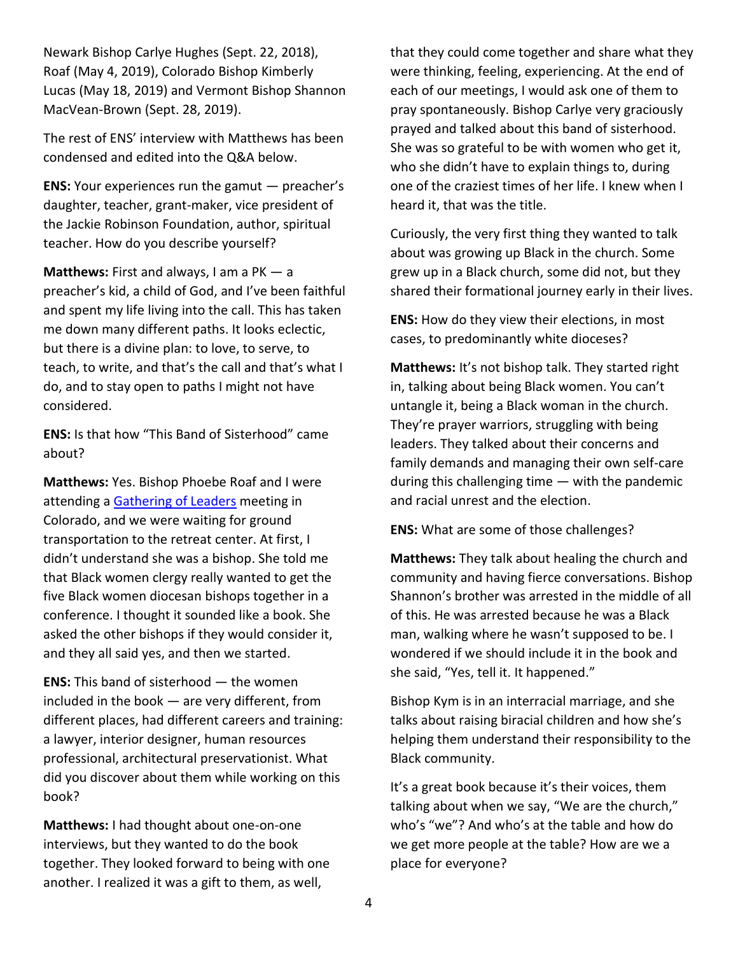Newark Bishop Carlye Hughes (Sept. 22, 2018), Roaf (May 4, 2019), Colorado Bishop Kimberly Lucas (May 18, 2019) and Vermont Bishop Shannon MacVean-Brown (Sept. 28, 2019).

The rest of ENS' interview with Matthews has been condensed and edited into the Q&A below.

**ENS:** Your experiences run the gamut — preacher's daughter, teacher, grant-maker, vice president of the Jackie Robinson Foundation, author, spiritual teacher. How do you describe yourself?

**Matthews:** First and always, I am a PK — a preacher's kid, a child of God, and I've been faithful and spent my life living into the call. This has taken me down many different paths. It looks eclectic, but there is a divine plan: to love, to serve, to teach, to write, and that's the call and that's what I do, and to stay open to paths I might not have considered.

**ENS:** Is that how "This Band of Sisterhood" came about?

**Matthews:** Yes. Bishop Phoebe Roaf and I were attending a [Gathering of Leaders](https://www.thegatheringofleaders.org/) meeting in Colorado, and we were waiting for ground transportation to the retreat center. At first, I didn't understand she was a bishop. She told me that Black women clergy really wanted to get the five Black women diocesan bishops together in a conference. I thought it sounded like a book. She asked the other bishops if they would consider it, and they all said yes, and then we started.

**ENS:** This band of sisterhood — the women included in the book — are very different, from different places, had different careers and training: a lawyer, interior designer, human resources professional, architectural preservationist. What did you discover about them while working on this book?

**Matthews:** I had thought about one-on-one interviews, but they wanted to do the book together. They looked forward to being with one another. I realized it was a gift to them, as well,

that they could come together and share what they were thinking, feeling, experiencing. At the end of each of our meetings, I would ask one of them to pray spontaneously. Bishop Carlye very graciously prayed and talked about this band of sisterhood. She was so grateful to be with women who get it, who she didn't have to explain things to, during one of the craziest times of her life. I knew when I heard it, that was the title.

Curiously, the very first thing they wanted to talk about was growing up Black in the church. Some grew up in a Black church, some did not, but they shared their formational journey early in their lives.

**ENS:** How do they view their elections, in most cases, to predominantly white dioceses?

**Matthews:** It's not bishop talk. They started right in, talking about being Black women. You can't untangle it, being a Black woman in the church. They're prayer warriors, struggling with being leaders. They talked about their concerns and family demands and managing their own self-care during this challenging time — with the pandemic and racial unrest and the election.

**ENS:** What are some of those challenges?

**Matthews:** They talk about healing the church and community and having fierce conversations. Bishop Shannon's brother was arrested in the middle of all of this. He was arrested because he was a Black man, walking where he wasn't supposed to be. I wondered if we should include it in the book and she said, "Yes, tell it. It happened."

Bishop Kym is in an interracial marriage, and she talks about raising biracial children and how she's helping them understand their responsibility to the Black community.

It's a great book because it's their voices, them talking about when we say, "We are the church," who's "we"? And who's at the table and how do we get more people at the table? How are we a place for everyone?